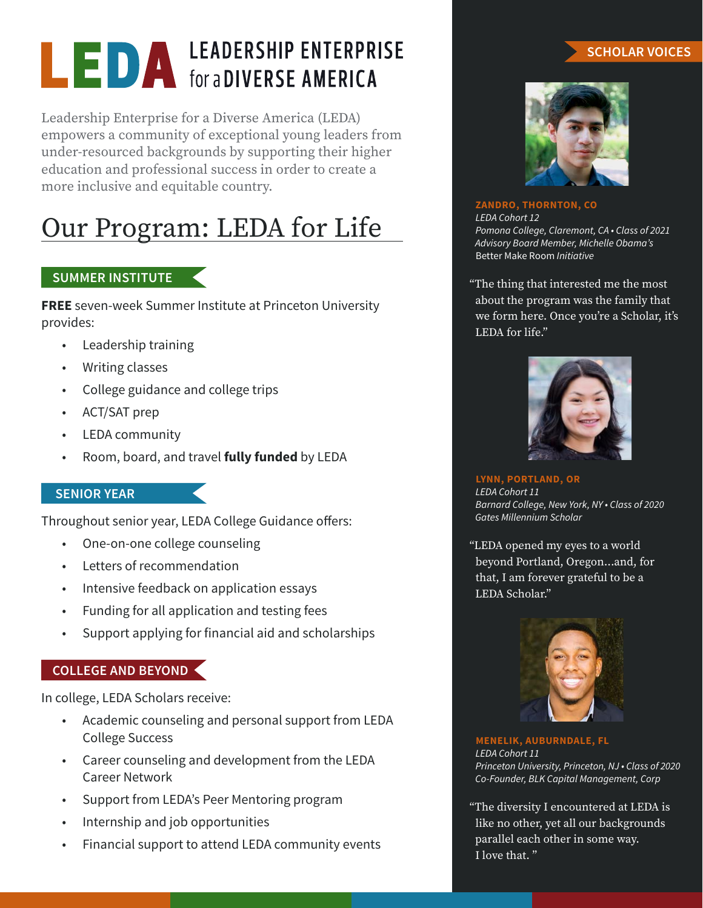# **LEDA** LEADERSHIP ENTERPRISE

Leadership Enterprise for a Diverse America (LEDA) empowers a community of exceptional young leaders from under-resourced backgrounds by supporting their higher education and professional success in order to create a more inclusive and equitable country.

# Our Program: LEDA for Life

### **SUMMER INSTITUTE**

**FREE** seven-week Summer Institute at Princeton University provides:

- Leadership training
- Writing classes
- College guidance and college trips
- ACT/SAT prep
- LEDA community
- Room, board, and travel **fully funded** by LEDA

#### **SENIOR YEAR**

Throughout senior year, LEDA College Guidance offers:

- One-on-one college counseling
- Letters of recommendation
- Intensive feedback on application essays
- Funding for all application and testing fees
- Support applying for financial aid and scholarships

#### **COLLEGE AND BEYOND**

In college, LEDA Scholars receive:

- Academic counseling and personal support from LEDA College Success
- Career counseling and development from the LEDA Career Network
- Support from LEDA's Peer Mentoring program
- Internship and job opportunities
- Financial support to attend LEDA community events

#### **SCHOLAR VOICES**



**ZANDRO, THORNTON, CO** *LEDA Cohort 12 Pomona College, Claremont, CA • Class of 2021 Advisory Board Member, Michelle Obama's*  Better Make Room *Initiative*

"The thing that interested me the most about the program was the family that we form here. Once you're a Scholar, it's LEDA for life."



**LYNN, PORTLAND, OR** *LEDA Cohort 11 Barnard College, New York, NY • Class of 2020 Gates Millennium Scholar*

"LEDA opened my eyes to a world beyond Portland, Oregon...and, for that, I am forever grateful to be a LEDA Scholar."



**MENELIK, AUBURNDALE, FL** *LEDA Cohort 11 Princeton University, Princeton, NJ • Class of 2020 Co-Founder, BLK Capital Management, Corp*

"The diversity I encountered at LEDA is like no other, yet all our backgrounds parallel each other in some way. I love that. "